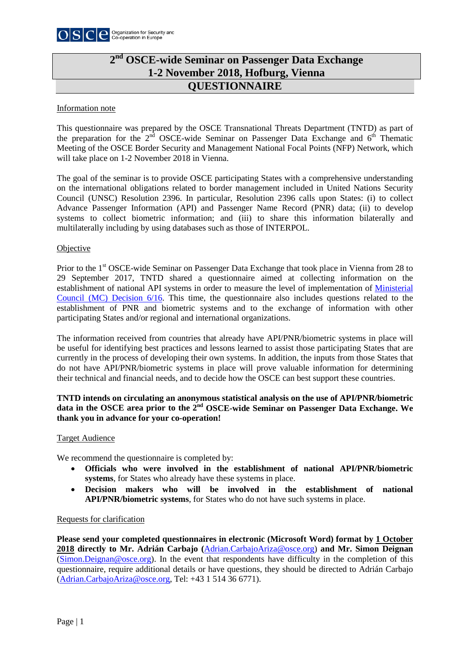

# **QUESTIONNAIRE 2nd OSCE-wide Seminar on Passenger Data Exchange 1-2 November 2018, Hofburg, Vienna**

#### Information note

This questionnaire was prepared by the OSCE Transnational Threats Department (TNTD) as part of the preparation for the  $2<sup>nd</sup>$  OSCE-wide Seminar on Passenger Data Exchange and  $6<sup>th</sup>$  Thematic Meeting of the OSCE Border Security and Management National Focal Points (NFP) Network, which will take place on 1-2 November 2018 in Vienna.

The goal of the seminar is to provide OSCE participating States with a comprehensive understanding on the international obligations related to border management included in United Nations Security Council (UNSC) Resolution 2396. In particular, Resolution 2396 calls upon States: (i) to collect Advance Passenger Information (API) and Passenger Name Record (PNR) data; (ii) to develop systems to collect biometric information; and (iii) to share this information bilaterally and multilaterally including by using databases such as those of INTERPOL.

## **Objective**

Prior to the 1st OSCE-wide Seminar on Passenger Data Exchange that took place in Vienna from 28 to 29 September 2017, TNTD shared a questionnaire aimed at collecting information on the establishment of national API systems in order to measure the level of implementation of [Ministerial](http://www.osce.org/cio/288256?download=true)  Council (MC) [Decision 6/16.](http://www.osce.org/cio/288256?download=true) This time, the questionnaire also includes questions related to the establishment of PNR and biometric systems and to the exchange of information with other participating States and/or regional and international organizations.

The information received from countries that already have API/PNR/biometric systems in place will be useful for identifying best practices and lessons learned to assist those participating States that are currently in the process of developing their own systems. In addition, the inputs from those States that do not have API/PNR/biometric systems in place will prove valuable information for determining their technical and financial needs, and to decide how the OSCE can best support these countries.

## **TNTD intends on circulating an anonymous statistical analysis on the use of API/PNR/biometric data in the OSCE area prior to the 2nd OSCE-wide Seminar on Passenger Data Exchange. We thank you in advance for your co-operation!**

#### Target Audience

We recommend the questionnaire is completed by:

- **Officials who were involved in the establishment of national API/PNR/biometric systems**, for States who already have these systems in place.
- **Decision makers who will be involved in the establishment of national API/PNR/biometric systems**, for States who do not have such systems in place.

#### Requests for clarification

**Please send your completed questionnaires in electronic (Microsoft Word) format by 1 October 2018 directly to Mr. Adrián Carbajo (**[Adrian.CarbajoAriza@osce.org\)](mailto:Adrian.CarbajoAriza@osce.org) **and Mr. Simon Deignan** [\(Simon.Deignan@osce.org\)](mailto:Simon.Deignan@osce.org). In the event that respondents have difficulty in the completion of this questionnaire, require additional details or have questions, they should be directed to Adrián Carbajo [\(Adrian.CarbajoAriza@osce.org,](mailto:Adrian.CarbajoAriza@osce.org) Tel: +43 1 514 36 6771).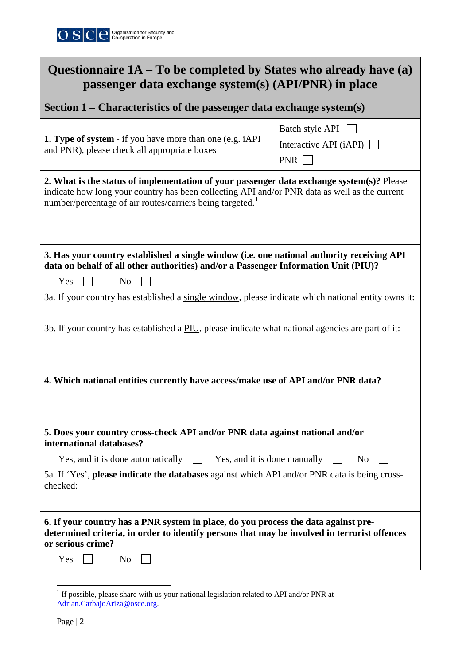

| Questionnaire $1A - To$ be completed by States who already have (a)<br>passenger data exchange system(s) (API/PNR) in place                                                                                                                                                                                                                                                                                            |                                                    |  |
|------------------------------------------------------------------------------------------------------------------------------------------------------------------------------------------------------------------------------------------------------------------------------------------------------------------------------------------------------------------------------------------------------------------------|----------------------------------------------------|--|
| Section $1$ – Characteristics of the passenger data exchange system(s)                                                                                                                                                                                                                                                                                                                                                 |                                                    |  |
| <b>1. Type of system</b> - if you have more than one (e.g. iAPI)<br>and PNR), please check all appropriate boxes                                                                                                                                                                                                                                                                                                       | Batch style API<br>Interactive API $(iAPI)$<br>PNR |  |
| 2. What is the status of implementation of your passenger data exchange system(s)? Please<br>indicate how long your country has been collecting API and/or PNR data as well as the current<br>number/percentage of air routes/carriers being targeted. <sup>1</sup>                                                                                                                                                    |                                                    |  |
| 3. Has your country established a single window (i.e. one national authority receiving API<br>data on behalf of all other authorities) and/or a Passenger Information Unit (PIU)?<br>N <sub>0</sub><br>Yes<br>3a. If your country has established a single window, please indicate which national entity owns it:<br>3b. If your country has established a PIU, please indicate what national agencies are part of it: |                                                    |  |
| 4. Which national entities currently have access/make use of API and/or PNR data?                                                                                                                                                                                                                                                                                                                                      |                                                    |  |
| 5. Does your country cross-check API and/or PNR data against national and/or<br>international databases?                                                                                                                                                                                                                                                                                                               |                                                    |  |
| Yes, and it is done automatically<br>Yes, and it is done manually<br>$\mathbf{1}$<br>N <sub>0</sub><br>5a. If 'Yes', please indicate the databases against which API and/or PNR data is being cross-<br>checked:                                                                                                                                                                                                       |                                                    |  |
| 6. If your country has a PNR system in place, do you process the data against pre-<br>determined criteria, in order to identify persons that may be involved in terrorist offences<br>or serious crime?<br>Yes<br>N <sub>0</sub>                                                                                                                                                                                       |                                                    |  |

<span id="page-1-0"></span><sup>&</sup>lt;sup>1</sup> If possible, please share with us your national legislation related to API and/or PNR at [Adrian.CarbajoAriza@osce.org.](mailto:Adrian.CarbajoAriza@osce.org)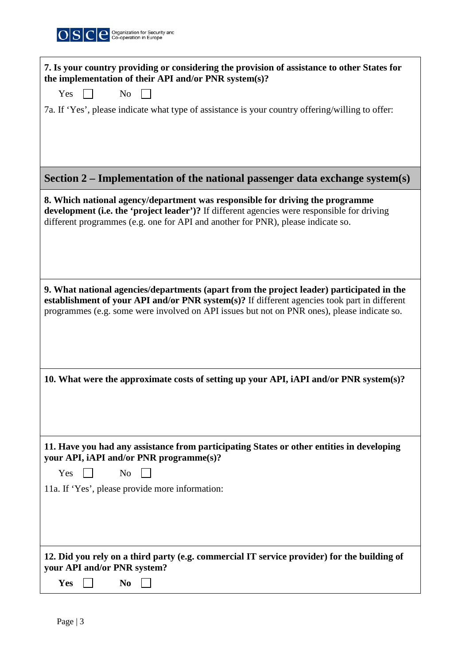

| 7. Is your country providing or considering the provision of assistance to other States for<br>the implementation of their API and/or PNR system(s)?                                                                                                                                     |
|------------------------------------------------------------------------------------------------------------------------------------------------------------------------------------------------------------------------------------------------------------------------------------------|
| Yes<br>N <sub>0</sub>                                                                                                                                                                                                                                                                    |
| 7a. If 'Yes', please indicate what type of assistance is your country offering/willing to offer:                                                                                                                                                                                         |
|                                                                                                                                                                                                                                                                                          |
| Section $2$ – Implementation of the national passenger data exchange system(s)                                                                                                                                                                                                           |
| 8. Which national agency/department was responsible for driving the programme<br>development (i.e. the 'project leader')? If different agencies were responsible for driving<br>different programmes (e.g. one for API and another for PNR), please indicate so.                         |
| 9. What national agencies/departments (apart from the project leader) participated in the<br>establishment of your API and/or PNR system(s)? If different agencies took part in different<br>programmes (e.g. some were involved on API issues but not on PNR ones), please indicate so. |
| 10. What were the approximate costs of setting up your API, iAPI and/or PNR system(s)?                                                                                                                                                                                                   |
| 11. Have you had any assistance from participating States or other entities in developing<br>your API, iAPI and/or PNR programme(s)?                                                                                                                                                     |
| Yes<br>N <sub>0</sub>                                                                                                                                                                                                                                                                    |
| 11a. If 'Yes', please provide more information:                                                                                                                                                                                                                                          |
| 12. Did you rely on a third party (e.g. commercial IT service provider) for the building of<br>your API and/or PNR system?                                                                                                                                                               |
| Yes<br>N <sub>0</sub>                                                                                                                                                                                                                                                                    |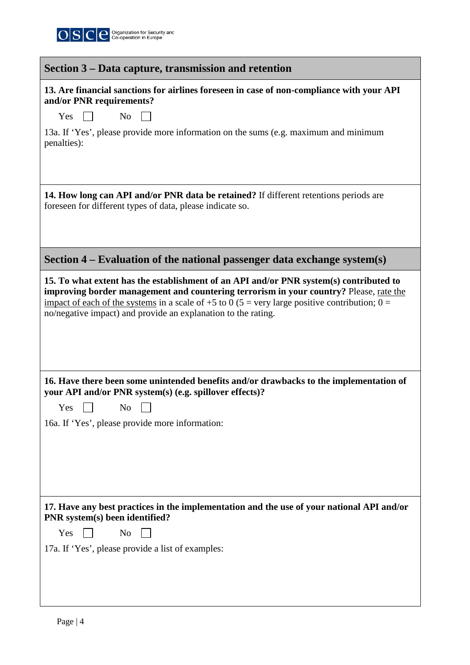

| Section 3 – Data capture, transmission and retention                                                                                                                                                                                                                                                                                                |
|-----------------------------------------------------------------------------------------------------------------------------------------------------------------------------------------------------------------------------------------------------------------------------------------------------------------------------------------------------|
| 13. Are financial sanctions for airlines foreseen in case of non-compliance with your API<br>and/or PNR requirements?                                                                                                                                                                                                                               |
| Yes<br>N <sub>o</sub>                                                                                                                                                                                                                                                                                                                               |
| 13a. If 'Yes', please provide more information on the sums (e.g. maximum and minimum<br>penalties):                                                                                                                                                                                                                                                 |
| 14. How long can API and/or PNR data be retained? If different retentions periods are<br>foreseen for different types of data, please indicate so.                                                                                                                                                                                                  |
| Section $4$ – Evaluation of the national passenger data exchange system(s)                                                                                                                                                                                                                                                                          |
| 15. To what extent has the establishment of an API and/or PNR system(s) contributed to<br>improving border management and countering terrorism in your country? Please, rate the<br>impact of each of the systems in a scale of +5 to 0 (5 = very large positive contribution; 0 =<br>no/negative impact) and provide an explanation to the rating. |
| 16. Have there been some unintended benefits and/or drawbacks to the implementation of<br>your API and/or PNR system(s) (e.g. spillover effects)?                                                                                                                                                                                                   |
| Yes<br>No                                                                                                                                                                                                                                                                                                                                           |
| 16a. If 'Yes', please provide more information:                                                                                                                                                                                                                                                                                                     |
| 17. Have any best practices in the implementation and the use of your national API and/or<br>PNR system(s) been identified?                                                                                                                                                                                                                         |
| Yes<br>N <sub>o</sub>                                                                                                                                                                                                                                                                                                                               |
| 17a. If 'Yes', please provide a list of examples:                                                                                                                                                                                                                                                                                                   |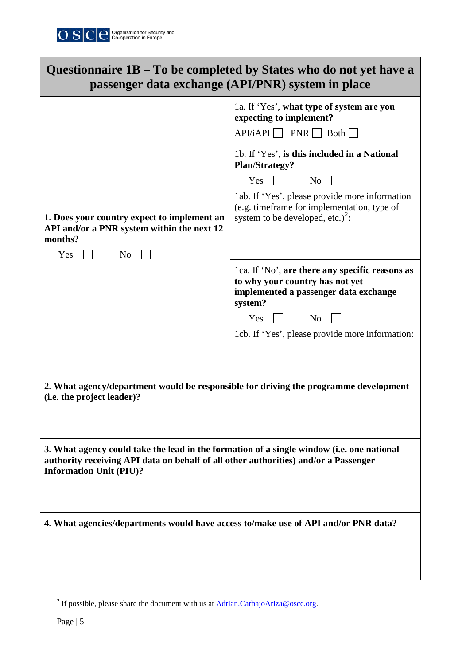

| Questionnaire 1B – To be completed by States who do not yet have a<br>passenger data exchange (API/PNR) system in place                                                                                            |                                                                                                                                                                                                                                                          |  |
|--------------------------------------------------------------------------------------------------------------------------------------------------------------------------------------------------------------------|----------------------------------------------------------------------------------------------------------------------------------------------------------------------------------------------------------------------------------------------------------|--|
|                                                                                                                                                                                                                    | 1a. If 'Yes', what type of system are you<br>expecting to implement?<br>$API/IAPI$ PNR Both                                                                                                                                                              |  |
| 1. Does your country expect to implement an<br>API and/or a PNR system within the next 12<br>months?<br>No<br>Yes                                                                                                  | 1b. If 'Yes', is this included in a National<br><b>Plan/Strategy?</b><br>$Yes$ $\Box$<br>N <sub>o</sub><br>1ab. If 'Yes', please provide more information<br>(e.g. timeframe for implementation, type of<br>system to be developed, etc.) <sup>2</sup> : |  |
|                                                                                                                                                                                                                    | 1ca. If 'No', are there any specific reasons as<br>to why your country has not yet<br>implemented a passenger data exchange<br>system?<br>$Yes \Box$ No<br>1cb. If 'Yes', please provide more information:                                               |  |
| 2. What agency/department would be responsible for driving the programme development<br>(i.e. the project leader)?                                                                                                 |                                                                                                                                                                                                                                                          |  |
| 3. What agency could take the lead in the formation of a single window (i.e. one national<br>authority receiving API data on behalf of all other authorities) and/or a Passenger<br><b>Information Unit (PIU)?</b> |                                                                                                                                                                                                                                                          |  |
| 4. What agencies/departments would have access to/make use of API and/or PNR data?                                                                                                                                 |                                                                                                                                                                                                                                                          |  |

<span id="page-4-0"></span><sup>&</sup>lt;sup>2</sup> If possible, please share the document with us at  $Adrian.CarbajoAriza@osce.org$ .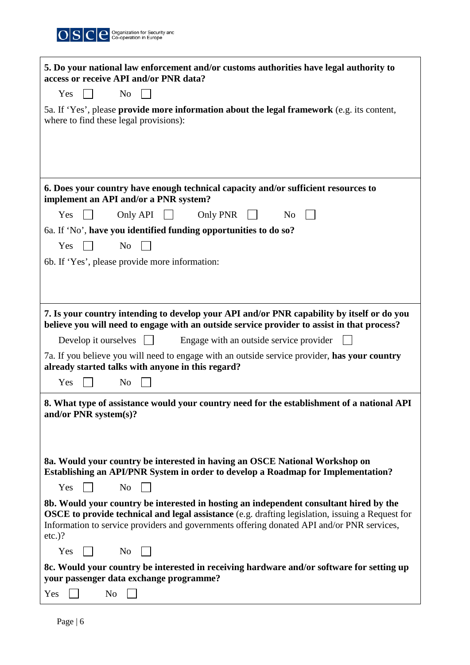

| 5. Do your national law enforcement and/or customs authorities have legal authority to<br>access or receive API and/or PNR data?                                                                                                                                                                             |
|--------------------------------------------------------------------------------------------------------------------------------------------------------------------------------------------------------------------------------------------------------------------------------------------------------------|
| N <sub>o</sub><br>Yes                                                                                                                                                                                                                                                                                        |
| 5a. If 'Yes', please provide more information about the legal framework (e.g. its content,<br>where to find these legal provisions):                                                                                                                                                                         |
|                                                                                                                                                                                                                                                                                                              |
| 6. Does your country have enough technical capacity and/or sufficient resources to<br>implement an API and/or a PNR system?                                                                                                                                                                                  |
| Yes<br>Only API<br>Only PNR<br>N <sub>0</sub>                                                                                                                                                                                                                                                                |
| 6a. If 'No', have you identified funding opportunities to do so?                                                                                                                                                                                                                                             |
| N <sub>0</sub><br>Yes                                                                                                                                                                                                                                                                                        |
| 6b. If 'Yes', please provide more information:                                                                                                                                                                                                                                                               |
|                                                                                                                                                                                                                                                                                                              |
|                                                                                                                                                                                                                                                                                                              |
| 7. Is your country intending to develop your API and/or PNR capability by itself or do you<br>believe you will need to engage with an outside service provider to assist in that process?                                                                                                                    |
| Engage with an outside service provider<br>Develop it ourselves $\vert \ \vert$                                                                                                                                                                                                                              |
| 7a. If you believe you will need to engage with an outside service provider, has your country<br>already started talks with anyone in this regard?                                                                                                                                                           |
| Yes<br>N <sub>o</sub>                                                                                                                                                                                                                                                                                        |
| 8. What type of assistance would your country need for the establishment of a national API<br>and/or PNR system(s)?                                                                                                                                                                                          |
|                                                                                                                                                                                                                                                                                                              |
|                                                                                                                                                                                                                                                                                                              |
| 8a. Would your country be interested in having an OSCE National Workshop on<br><b>Establishing an API/PNR System in order to develop a Roadmap for Implementation?</b>                                                                                                                                       |
| Yes<br>N <sub>o</sub>                                                                                                                                                                                                                                                                                        |
| 8b. Would your country be interested in hosting an independent consultant hired by the<br><b>OSCE to provide technical and legal assistance</b> (e.g. drafting legislation, issuing a Request for<br>Information to service providers and governments offering donated API and/or PNR services,<br>$etc.$ )? |
| Yes<br>No                                                                                                                                                                                                                                                                                                    |
| 8c. Would your country be interested in receiving hardware and/or software for setting up<br>your passenger data exchange programme?                                                                                                                                                                         |
| N <sub>o</sub><br>Yes                                                                                                                                                                                                                                                                                        |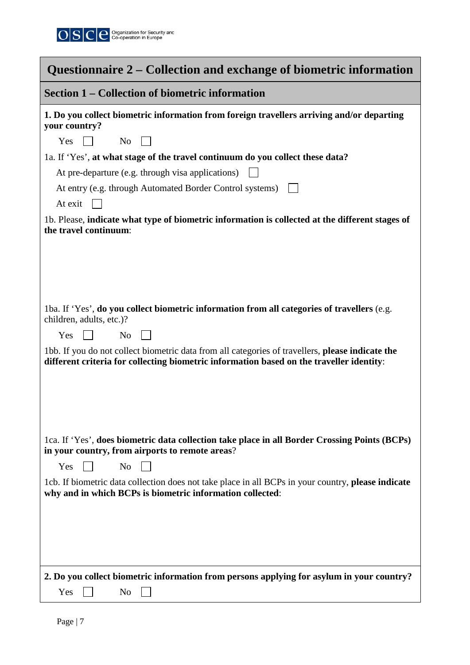

| Questionnaire 2 – Collection and exchange of biometric information                                                                                                                                                                                                                                                                                                                                                                                                                     |  |
|----------------------------------------------------------------------------------------------------------------------------------------------------------------------------------------------------------------------------------------------------------------------------------------------------------------------------------------------------------------------------------------------------------------------------------------------------------------------------------------|--|
| <b>Section 1 – Collection of biometric information</b>                                                                                                                                                                                                                                                                                                                                                                                                                                 |  |
| 1. Do you collect biometric information from foreign travellers arriving and/or departing<br>your country?<br>Yes<br>$\pm$<br>N <sub>0</sub><br>1a. If 'Yes', at what stage of the travel continuum do you collect these data?<br>At pre-departure (e.g. through visa applications)<br>At entry (e.g. through Automated Border Control systems)<br>At exit<br>1b. Please, indicate what type of biometric information is collected at the different stages of<br>the travel continuum: |  |
| 1ba. If 'Yes', do you collect biometric information from all categories of travellers (e.g.<br>children, adults, etc.)?<br>N <sub>o</sub><br>Yes<br>1bb. If you do not collect biometric data from all categories of travellers, please indicate the<br>different criteria for collecting biometric information based on the traveller identity:                                                                                                                                       |  |
| 1ca. If 'Yes', does biometric data collection take place in all Border Crossing Points (BCPs)<br>in your country, from airports to remote areas?<br>N <sub>o</sub><br>Yes<br>1cb. If biometric data collection does not take place in all BCPs in your country, please indicate<br>why and in which BCPs is biometric information collected:                                                                                                                                           |  |
| 2. Do you collect biometric information from persons applying for asylum in your country?<br>Yes<br>N <sub>0</sub>                                                                                                                                                                                                                                                                                                                                                                     |  |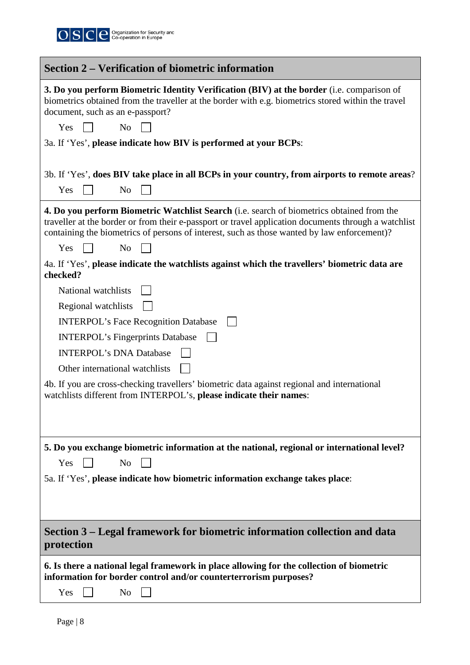

| <b>Section 2 – Verification of biometric information</b>                                                                                                                                                                                                                                                                         |
|----------------------------------------------------------------------------------------------------------------------------------------------------------------------------------------------------------------------------------------------------------------------------------------------------------------------------------|
| 3. Do you perform Biometric Identity Verification (BIV) at the border (i.e. comparison of<br>biometrics obtained from the traveller at the border with e.g. biometrics stored within the travel<br>document, such as an e-passport?                                                                                              |
| Yes<br>N <sub>0</sub>                                                                                                                                                                                                                                                                                                            |
| 3a. If 'Yes', please indicate how BIV is performed at your BCPs:                                                                                                                                                                                                                                                                 |
| 3b. If 'Yes', does BIV take place in all BCPs in your country, from airports to remote areas?                                                                                                                                                                                                                                    |
| N <sub>o</sub><br>Yes                                                                                                                                                                                                                                                                                                            |
| <b>4. Do you perform Biometric Watchlist Search</b> (i.e. search of biometrics obtained from the<br>traveller at the border or from their e-passport or travel application documents through a watchlist<br>containing the biometrics of persons of interest, such as those wanted by law enforcement)?<br>Yes<br>N <sub>o</sub> |
| 4a. If 'Yes', please indicate the watchlists against which the travellers' biometric data are<br>checked?                                                                                                                                                                                                                        |
| National watchlists                                                                                                                                                                                                                                                                                                              |
| Regional watchlists                                                                                                                                                                                                                                                                                                              |
| <b>INTERPOL's Face Recognition Database</b>                                                                                                                                                                                                                                                                                      |
| <b>INTERPOL's Fingerprints Database</b>                                                                                                                                                                                                                                                                                          |
| <b>INTERPOL's DNA Database</b>                                                                                                                                                                                                                                                                                                   |
| Other international watchlists                                                                                                                                                                                                                                                                                                   |
| 4b. If you are cross-checking travellers' biometric data against regional and international<br>watchlists different from INTERPOL's, please indicate their names:                                                                                                                                                                |
|                                                                                                                                                                                                                                                                                                                                  |
| 5. Do you exchange biometric information at the national, regional or international level?                                                                                                                                                                                                                                       |
| N <sub>o</sub><br>Yes                                                                                                                                                                                                                                                                                                            |
| 5a. If 'Yes', please indicate how biometric information exchange takes place:                                                                                                                                                                                                                                                    |
|                                                                                                                                                                                                                                                                                                                                  |
|                                                                                                                                                                                                                                                                                                                                  |
| Section 3 – Legal framework for biometric information collection and data<br>protection                                                                                                                                                                                                                                          |
| 6. Is there a national legal framework in place allowing for the collection of biometric<br>information for border control and/or counterterrorism purposes?<br>Yes<br>N <sub>0</sub>                                                                                                                                            |
|                                                                                                                                                                                                                                                                                                                                  |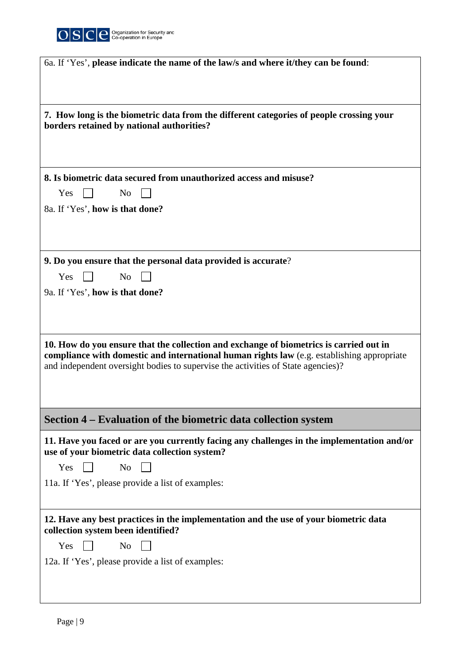

| 6a. If 'Yes', please indicate the name of the law/s and where it/they can be found:                                                         |
|---------------------------------------------------------------------------------------------------------------------------------------------|
|                                                                                                                                             |
|                                                                                                                                             |
|                                                                                                                                             |
| 7. How long is the biometric data from the different categories of people crossing your<br>borders retained by national authorities?        |
|                                                                                                                                             |
|                                                                                                                                             |
|                                                                                                                                             |
| 8. Is biometric data secured from unauthorized access and misuse?                                                                           |
| Yes<br>N <sub>0</sub>                                                                                                                       |
| 8a. If 'Yes', how is that done?                                                                                                             |
|                                                                                                                                             |
|                                                                                                                                             |
| 9. Do you ensure that the personal data provided is accurate?                                                                               |
|                                                                                                                                             |
| N <sub>o</sub><br><b>Yes</b>                                                                                                                |
| 9a. If 'Yes', how is that done?                                                                                                             |
|                                                                                                                                             |
|                                                                                                                                             |
| 10. How do you ensure that the collection and exchange of biometrics is carried out in                                                      |
| compliance with domestic and international human rights law (e.g. establishing appropriate                                                  |
| and independent oversight bodies to supervise the activities of State agencies)?                                                            |
|                                                                                                                                             |
|                                                                                                                                             |
| Section 4 – Evaluation of the biometric data collection system                                                                              |
|                                                                                                                                             |
| 11. Have you faced or are you currently facing any challenges in the implementation and/or<br>use of your biometric data collection system? |
| Yes<br>N <sub>o</sub>                                                                                                                       |
| 11a. If 'Yes', please provide a list of examples:                                                                                           |
|                                                                                                                                             |
|                                                                                                                                             |
| 12. Have any best practices in the implementation and the use of your biometric data<br>collection system been identified?                  |
| Yes<br>N <sub>0</sub>                                                                                                                       |
| 12a. If 'Yes', please provide a list of examples:                                                                                           |
|                                                                                                                                             |
|                                                                                                                                             |
|                                                                                                                                             |